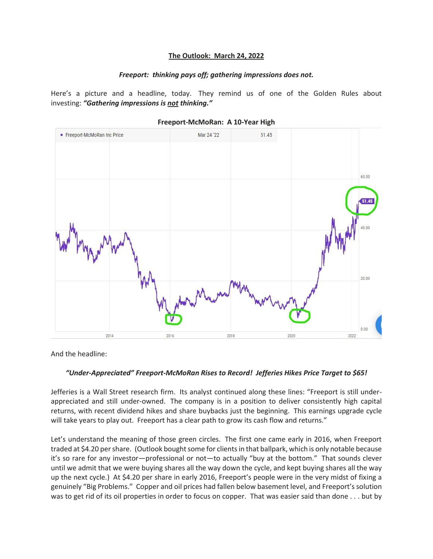## **The Outlook: March 24, 2022**

## *Freeport: thinking pays off; gathering impressions does not.*

Here's a picture and a headline, today. They remind us of one of the Golden Rules about investing: *"Gathering impressions is not thinking."*



## **Freeport-McMoRan: A 10-Year High**

And the headline:

## *"Under-Appreciated" Freeport-McMoRan Rises to Record! Jefferies Hikes Price Target to \$65!*

Jefferies is a Wall Street research firm. Its analyst continued along these lines: "Freeport is still underappreciated and still under-owned. The company is in a position to deliver consistently high capital returns, with recent dividend hikes and share buybacks just the beginning. This earnings upgrade cycle will take years to play out. Freeport has a clear path to grow its cash flow and returns."

Let's understand the meaning of those green circles. The first one came early in 2016, when Freeport traded at \$4.20 per share. (Outlook bought some for clients in that ballpark, which is only notable because it's so rare for any investor—professional or not—to actually "buy at the bottom." That sounds clever until we admit that we were buying shares all the way down the cycle, and kept buying shares all the way up the next cycle.) At \$4.20 per share in early 2016, Freeport's people were in the very midst of fixing a genuinely "Big Problems." Copper and oil prices had fallen below basement level, and Freeport's solution was to get rid of its oil properties in order to focus on copper. That was easier said than done . . . but by